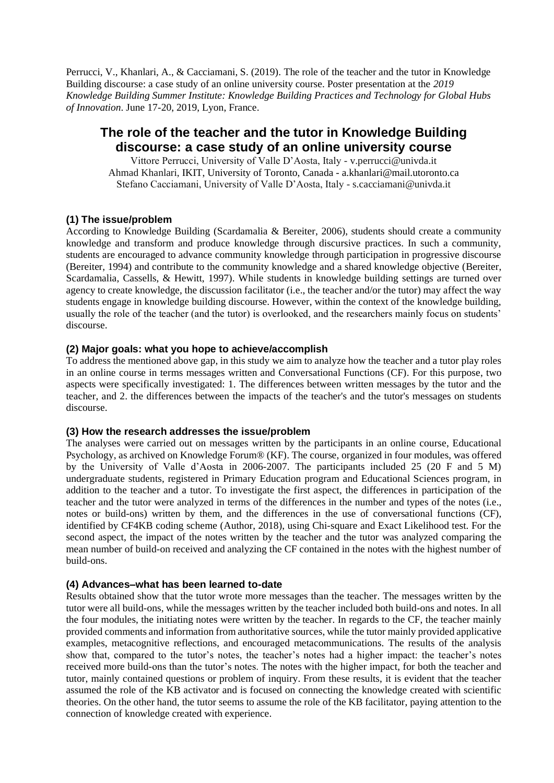Perrucci, V., Khanlari, A., & Cacciamani, S. (2019). The role of the teacher and the tutor in Knowledge Building discourse: a case study of an online university course. Poster presentation at the *2019 Knowledge Building Summer Institute: Knowledge Building Practices and Technology for Global Hubs of Innovation*. June 17-20, 2019, Lyon, France.

# **The role of the teacher and the tutor in Knowledge Building discourse: a case study of an online university course**

Vittore Perrucci, University of Valle D'Aosta, Italy - v.perrucci@univda.it Ahmad Khanlari, IKIT, University of Toronto, Canada - a.khanlari@mail.utoronto.ca Stefano Cacciamani, University of Valle D'Aosta, Italy - s.cacciamani@univda.it

#### **(1) The issue/problem**

According to Knowledge Building (Scardamalia & Bereiter, 2006), students should create a community knowledge and transform and produce knowledge through discursive practices. In such a community, students are encouraged to advance community knowledge through participation in progressive discourse (Bereiter, 1994) and contribute to the community knowledge and a shared knowledge objective (Bereiter, Scardamalia, Cassells, & Hewitt, 1997). While students in knowledge building settings are turned over agency to create knowledge, the discussion facilitator (i.e., the teacher and/or the tutor) may affect the way students engage in knowledge building discourse. However, within the context of the knowledge building, usually the role of the teacher (and the tutor) is overlooked, and the researchers mainly focus on students' discourse.

### **(2) Major goals: what you hope to achieve/accomplish**

To address the mentioned above gap, in this study we aim to analyze how the teacher and a tutor play roles in an online course in terms messages written and Conversational Functions (CF). For this purpose, two aspects were specifically investigated: 1. The differences between written messages by the tutor and the teacher, and 2. the differences between the impacts of the teacher's and the tutor's messages on students discourse.

#### **(3) How the research addresses the issue/problem**

The analyses were carried out on messages written by the participants in an online course, Educational Psychology, as archived on Knowledge Forum® (KF). The course, organized in four modules, was offered by the University of Valle d'Aosta in 2006-2007. The participants included 25 (20 F and 5 M) undergraduate students, registered in Primary Education program and Educational Sciences program, in addition to the teacher and a tutor. To investigate the first aspect, the differences in participation of the teacher and the tutor were analyzed in terms of the differences in the number and types of the notes (i.e., notes or build-ons) written by them, and the differences in the use of conversational functions (CF), identified by CF4KB coding scheme (Author, 2018), using Chi-square and Exact Likelihood test. For the second aspect, the impact of the notes written by the teacher and the tutor was analyzed comparing the mean number of build-on received and analyzing the CF contained in the notes with the highest number of build-ons.

#### **(4) Advances–what has been learned to-date**

Results obtained show that the tutor wrote more messages than the teacher. The messages written by the tutor were all build-ons, while the messages written by the teacher included both build-ons and notes. In all the four modules, the initiating notes were written by the teacher. In regards to the CF, the teacher mainly provided comments and information from authoritative sources, while the tutor mainly provided applicative examples, metacognitive reflections, and encouraged metacommunications. The results of the analysis show that, compared to the tutor's notes, the teacher's notes had a higher impact: the teacher's notes received more build-ons than the tutor's notes. The notes with the higher impact, for both the teacher and tutor, mainly contained questions or problem of inquiry. From these results, it is evident that the teacher assumed the role of the KB activator and is focused on connecting the knowledge created with scientific theories. On the other hand, the tutor seems to assume the role of the KB facilitator, paying attention to the connection of knowledge created with experience.